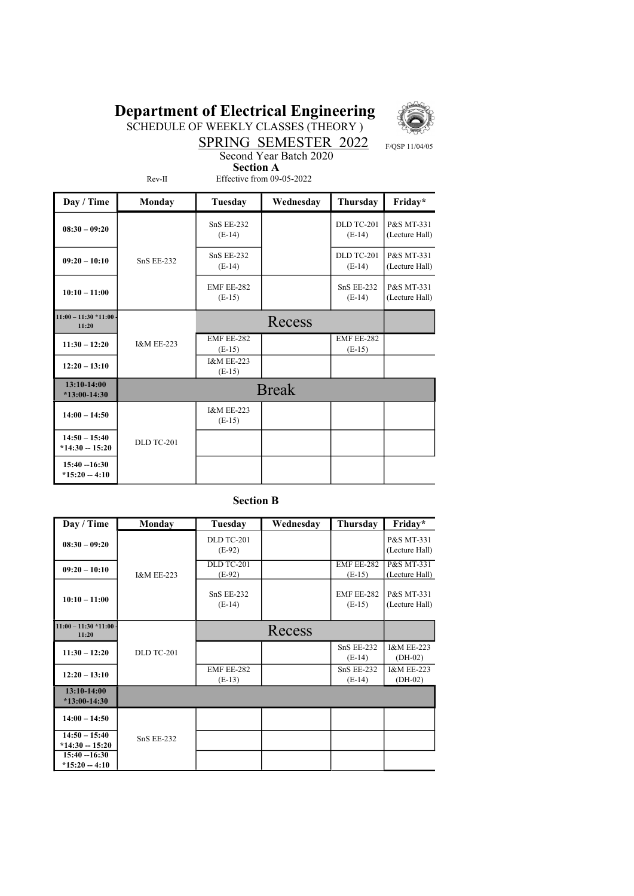## Department of Electrical Engineering



SCHEDULE OF WEEKLY CLASSES (THEORY )

SPRING SEMESTER 2022 F/QSP 11/04/05 Second Year Batch 2020

Rev-II

 Section A Effective from 09-05-2022

| Day / Time                          | Monday                | Tuesday                           | Wednesday    | Thursday                      | Friday*                      |
|-------------------------------------|-----------------------|-----------------------------------|--------------|-------------------------------|------------------------------|
| $08:30 - 09:20$                     |                       | <b>SnS EE-232</b><br>$(E-14)$     |              | <b>DLD TC-201</b><br>$(E-14)$ | P&S MT-331<br>(Lecture Hall) |
| $09:20 - 10:10$                     | <b>SnS EE-232</b>     | <b>SnS EE-232</b><br>$(E-14)$     |              | DLD TC-201<br>$(E-14)$        | P&S MT-331<br>(Lecture Hall) |
| $10:10 - 11:00$                     |                       | EMF EE-282<br>$(E-15)$            |              | $SnS EE-232$<br>$(E-14)$      | P&S MT-331<br>(Lecture Hall) |
| $11:00 - 11:30 * 11:00$<br>11:20    |                       |                                   | Recess       |                               |                              |
| $11:30 - 12:20$                     | <b>I&amp;M EE-223</b> | EMF EE-282<br>$(E-15)$            |              | EMF EE-282<br>$(E-15)$        |                              |
| $12:20 - 13:10$                     |                       | <b>I&amp;M EE-223</b><br>$(E-15)$ |              |                               |                              |
| $13:10-14:00$<br>$*13:00-14:30$     |                       |                                   | <b>Break</b> |                               |                              |
| $14:00 - 14:50$                     |                       | <b>I&amp;M EE-223</b><br>$(E-15)$ |              |                               |                              |
| $14:50 - 15:40$<br>$*14:30 - 15:20$ | <b>DLD TC-201</b>     |                                   |              |                               |                              |
| $15:40 - 16:30$<br>$*15:20 - 4:10$  |                       |                                   |              |                               |                              |

### Section B

| Day / Time                          | Monday                | Tuesday                       | Wednesdav | Thursday                      | Friday*                            |
|-------------------------------------|-----------------------|-------------------------------|-----------|-------------------------------|------------------------------------|
| $08:30 - 09:20$                     |                       | DLD TC-201<br>$(E-92)$        |           |                               | P&S MT-331<br>(Lecture Hall)       |
| $09:20 - 10:10$                     | <b>I&amp;M EE-223</b> | DLD TC-201<br>$(E-92)$        |           | EMF EE-282<br>$(E-15)$        | P&S MT-331<br>(Lecture Hall)       |
| $10:10 - 11:00$                     |                       | <b>SnS EE-232</b><br>$(E-14)$ |           | EMF EE-282<br>$(E-15)$        | P&S MT-331<br>(Lecture Hall)       |
| $11:00 - 11:30 * 11:00$<br>11:20    |                       |                               | Recess    |                               |                                    |
| $11:30 - 12:20$                     | <b>DLD TC-201</b>     |                               |           | <b>SnS EE-232</b><br>$(E-14)$ | <b>I&amp;M EE-223</b><br>$(DH-02)$ |
| $12:20 - 13:10$                     |                       | EMF EE-282<br>$(E-13)$        |           | <b>SnS EE-232</b><br>$(E-14)$ | <b>I&amp;M EE-223</b><br>$(DH-02)$ |
| 13:10-14:00<br>$*13:00-14:30$       |                       |                               |           |                               |                                    |
| $14:00 - 14:50$                     |                       |                               |           |                               |                                    |
| $14:50 - 15:40$<br>$*14:30 - 15:20$ | <b>SnS EE-232</b>     |                               |           |                               |                                    |
| $15:40 - 16:30$<br>$*15:20 - 4:10$  |                       |                               |           |                               |                                    |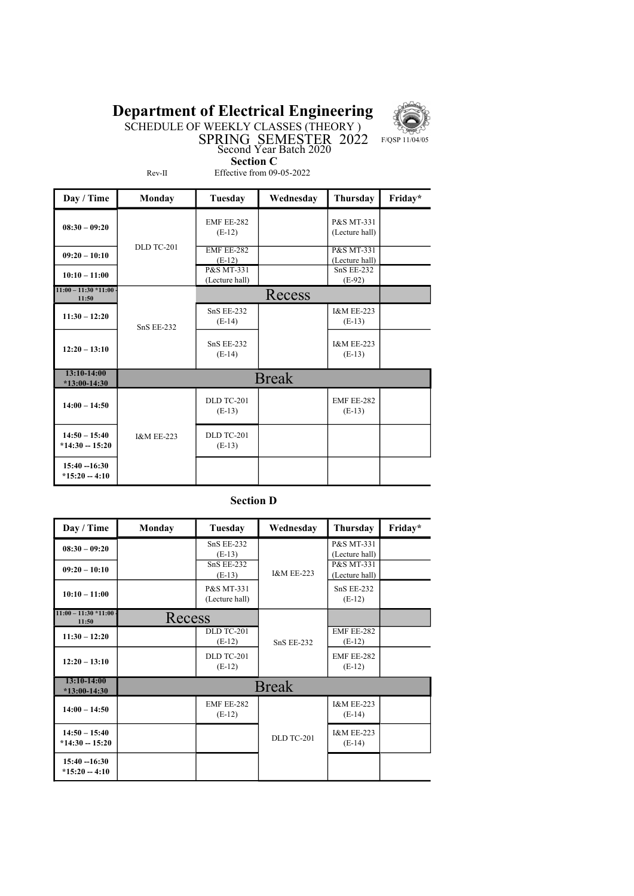# Department of Electrical Engineering



SPRING SEMESTER 2022 F/QSP 11/04/05

SCHEDULE OF WEEKLY CLASSES (THEORY )

Section C

Rev-II

Effective from 09-05-2022

Second Year Batch 2020

| Day / Time                          | Monday                | <b>Tuesday</b>                | Wednesday    | Thursday                                | Friday* |
|-------------------------------------|-----------------------|-------------------------------|--------------|-----------------------------------------|---------|
| $08:30 - 09:20$                     |                       | <b>EMF EE-282</b><br>$(E-12)$ |              | P&S MT-331<br>(Lecture hall)            |         |
| $09:20 - 10:10$                     | <b>DLD TC-201</b>     | <b>EMF EE-282</b><br>$(E-12)$ |              | <b>P&amp;S MT-331</b><br>(Lecture hall) |         |
| $10:10 - 11:00$                     |                       | P&S MT-331<br>(Lecture hall)  |              | <b>SnS EE-232</b><br>$(E-92)$           |         |
| $11:00 - 11:30 * 11:00$<br>11:50    |                       |                               | Recess       |                                         |         |
| $11:30 - 12:20$                     | <b>SnS EE-232</b>     | <b>SnS EE-232</b><br>$(E-14)$ |              | <b>I&amp;M EE-223</b><br>$(E-13)$       |         |
| $12:20 - 13:10$                     |                       | <b>SnS EE-232</b><br>$(E-14)$ |              | <b>I&amp;M EE-223</b><br>$(E-13)$       |         |
| 13:10-14:00<br>$*13:00-14:30$       |                       |                               | <b>Break</b> |                                         |         |
| $14:00 - 14:50$                     |                       | <b>DLD TC-201</b><br>$(E-13)$ |              | <b>EMF EE-282</b><br>$(E-13)$           |         |
| $14:50 - 15:40$<br>$*14:30 - 15:20$ | <b>I&amp;M EE-223</b> | DLD TC-201<br>$(E-13)$        |              |                                         |         |
| $15:40 - 16:30$<br>$*15:20 - 4:10$  |                       |                               |              |                                         |         |

### Section D

| Day / Time                          | <b>Monday</b> | Tuesday                       | Wednesday             | Thursday                          | Friday* |
|-------------------------------------|---------------|-------------------------------|-----------------------|-----------------------------------|---------|
| $08:30 - 09:20$                     |               | $SnS EE-232$<br>$(E-13)$      |                       | P&S MT-331<br>(Lecture hall)      |         |
| $09:20 - 10:10$                     |               | $SnS$ EE-232<br>$(E-13)$      | <b>I&amp;M EE-223</b> | P&S MT-331<br>(Lecture hall)      |         |
| $10:10 - 11:00$                     |               | P&S MT-331<br>(Lecture hall)  |                       | <b>SnS EE-232</b><br>$(E-12)$     |         |
| $11:00 - 11:30 * 11:00$<br>11:50    | Recess        |                               |                       |                                   |         |
| $11:30 - 12:20$                     |               | DLD TC-201<br>$(E-12)$        | <b>SnS EE-232</b>     | EMF EE-282<br>$(E-12)$            |         |
| $12:20 - 13:10$                     |               | <b>DLD TC-201</b><br>$(E-12)$ |                       | EMF EE-282<br>$(E-12)$            |         |
| $13:10-14:00$<br>$*13:00-14:30$     | <b>Break</b>  |                               |                       |                                   |         |
| $14:00 - 14:50$                     |               | <b>EMF EE-282</b><br>$(E-12)$ |                       | <b>I&amp;M EE-223</b><br>$(E-14)$ |         |
| $14:50 - 15:40$<br>$*14:30 - 15:20$ |               |                               | <b>DLD TC-201</b>     | <b>I&amp;M EE-223</b><br>$(E-14)$ |         |
| $15:40 - 16:30$<br>$*15:20 - 4:10$  |               |                               |                       |                                   |         |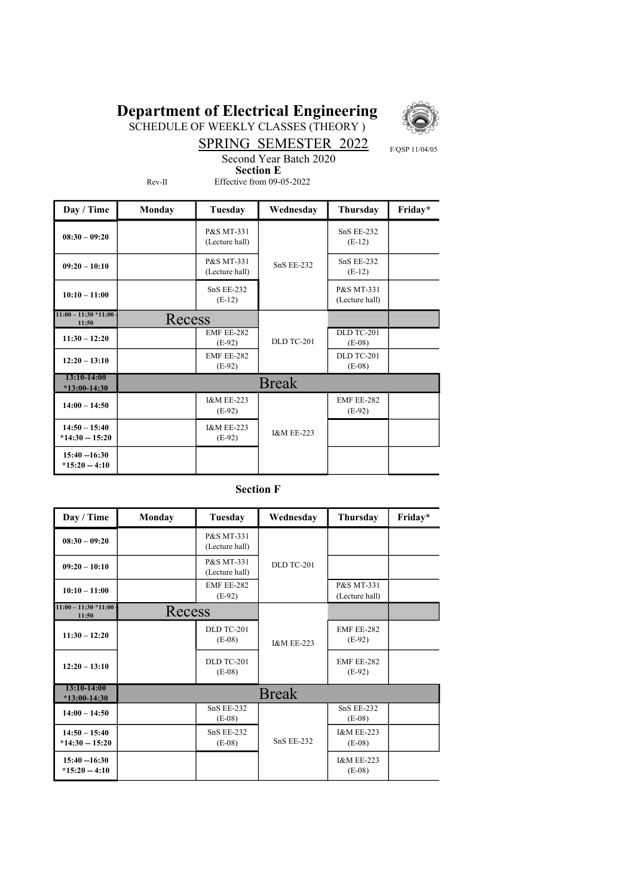# Department of Electrical Engineering



SCHEDULE OF WEEKLY CLASSES (THEORY )

SPRING SEMESTER 2022 F/QSP 11/04/05 Second Year Batch 2020

Rev-II

 Section E Effective from 09-05-2022

| Day / Time                          | <b>Monday</b> | Tuesday                           | Wednesday             | Thursday                      | Friday* |
|-------------------------------------|---------------|-----------------------------------|-----------------------|-------------------------------|---------|
| $08:30 - 09:20$                     |               | P&S MT-331<br>(Lecture hall)      | <b>SnS EE-232</b>     | <b>SnS EE-232</b><br>$(E-12)$ |         |
| $09:20 - 10:10$                     |               | P&S MT-331<br>(Lecture hall)      |                       | <b>SnS EE-232</b><br>$(E-12)$ |         |
| $10:10 - 11:00$                     |               | <b>SnS EE-232</b><br>$(E-12)$     |                       | P&S MT-331<br>(Lecture hall)  |         |
| $11:00 - 11:30 * 11:00$<br>11:50    | Recess        |                                   |                       |                               |         |
| $11:30 - 12:20$                     |               | <b>EMF EE-282</b><br>$(E-92)$     | <b>DLD TC-201</b>     | DLD TC-201<br>$(E-08)$        |         |
| $12:20 - 13:10$                     |               | <b>EMF EE-282</b><br>$(E-92)$     |                       | <b>DLD TC-201</b><br>$(E-08)$ |         |
| $13:10-14:00$<br>$*13:00-14:30$     | <b>Break</b>  |                                   |                       |                               |         |
| $14:00 - 14:50$                     |               | <b>I&amp;M EE-223</b><br>$(E-92)$ | <b>I&amp;M EE-223</b> | EMF EE-282<br>$(E-92)$        |         |
| $14:50 - 15:40$<br>$*14:30 - 15:20$ |               | <b>I&amp;M EE-223</b><br>$(E-92)$ |                       |                               |         |
| $15:40 - 16:30$<br>$*15:20 - 4:10$  |               |                                   |                       |                               |         |

#### Section F

| Day / Time                          | Monday       | Tuesday                       | Wednesday             | Thursday                          | Friday* |
|-------------------------------------|--------------|-------------------------------|-----------------------|-----------------------------------|---------|
| $08:30 - 09:20$                     |              | P&S MT-331<br>(Lecture hall)  |                       |                                   |         |
| $09:20 - 10:10$                     |              | P&S MT-331<br>(Lecture hall)  | <b>DLD TC-201</b>     |                                   |         |
| $10:10 - 11:00$                     |              | EMF EE-282<br>$(E-92)$        |                       | P&S MT-331<br>(Lecture hall)      |         |
| $11:00 - 11:30 * 11:00$<br>11:50    | Recess       |                               |                       |                                   |         |
| $11:30 - 12:20$                     |              | DLD TC-201<br>$(E-08)$        | <b>I&amp;M EE-223</b> | <b>EMF EE-282</b><br>$(E-92)$     |         |
| $12:20 - 13:10$                     |              | <b>DLD TC-201</b><br>$(E-08)$ |                       | <b>EMF EE-282</b><br>$(E-92)$     |         |
| 13:10-14:00<br>$*13:00-14:30$       | <b>Break</b> |                               |                       |                                   |         |
| $14:00 - 14:50$                     |              | <b>SnS EE-232</b><br>$(E-08)$ |                       | <b>SnS EE-232</b><br>$(E-08)$     |         |
| $14:50 - 15:40$<br>$*14:30 - 15:20$ |              | <b>SnS EE-232</b><br>$(E-08)$ | <b>SnS EE-232</b>     | <b>I&amp;M EE-223</b><br>$(E-08)$ |         |
| $15:40 - 16:30$<br>$*15:20 - 4:10$  |              |                               |                       | <b>I&amp;M EE-223</b><br>$(E-08)$ |         |